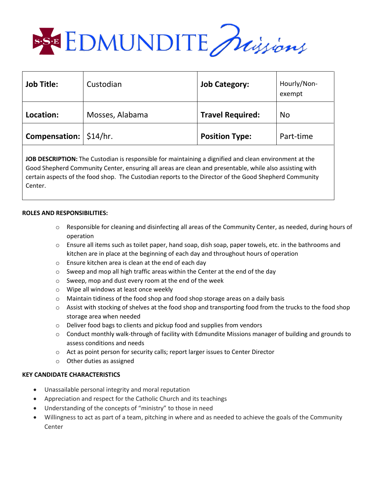

| <b>Job Title:</b>        | Custodian       | <b>Job Category:</b>    | Hourly/Non-<br>exempt |
|--------------------------|-----------------|-------------------------|-----------------------|
| Location:                | Mosses, Alabama | <b>Travel Required:</b> | No                    |
| Compensation:   \$14/hr. |                 | <b>Position Type:</b>   | Part-time             |

**JOB DESCRIPTION:** The Custodian is responsible for maintaining a dignified and clean environment at the Good Shepherd Community Center, ensuring all areas are clean and presentable, while also assisting with certain aspects of the food shop. The Custodian reports to the Director of the Good Shepherd Community Center.

## **ROLES AND RESPONSIBILITIES:**

- o Responsible for cleaning and disinfecting all areas of the Community Center, as needed, during hours of operation
- $\circ$  Ensure all items such as toilet paper, hand soap, dish soap, paper towels, etc. in the bathrooms and kitchen are in place at the beginning of each day and throughout hours of operation
- o Ensure kitchen area is clean at the end of each day
- $\circ$  Sweep and mop all high traffic areas within the Center at the end of the day
- o Sweep, mop and dust every room at the end of the week
- o Wipe all windows at least once weekly
- $\circ$  Maintain tidiness of the food shop and food shop storage areas on a daily basis
- $\circ$  Assist with stocking of shelves at the food shop and transporting food from the trucks to the food shop storage area when needed
- o Deliver food bags to clients and pickup food and supplies from vendors
- $\circ$  Conduct monthly walk-through of facility with Edmundite Missions manager of building and grounds to assess conditions and needs
- o Act as point person for security calls; report larger issues to Center Director
- o Other duties as assigned

## **KEY CANDIDATE CHARACTERISTICS**

- Unassailable personal integrity and moral reputation
- Appreciation and respect for the Catholic Church and its teachings
- Understanding of the concepts of "ministry" to those in need
- Willingness to act as part of a team, pitching in where and as needed to achieve the goals of the Community Center